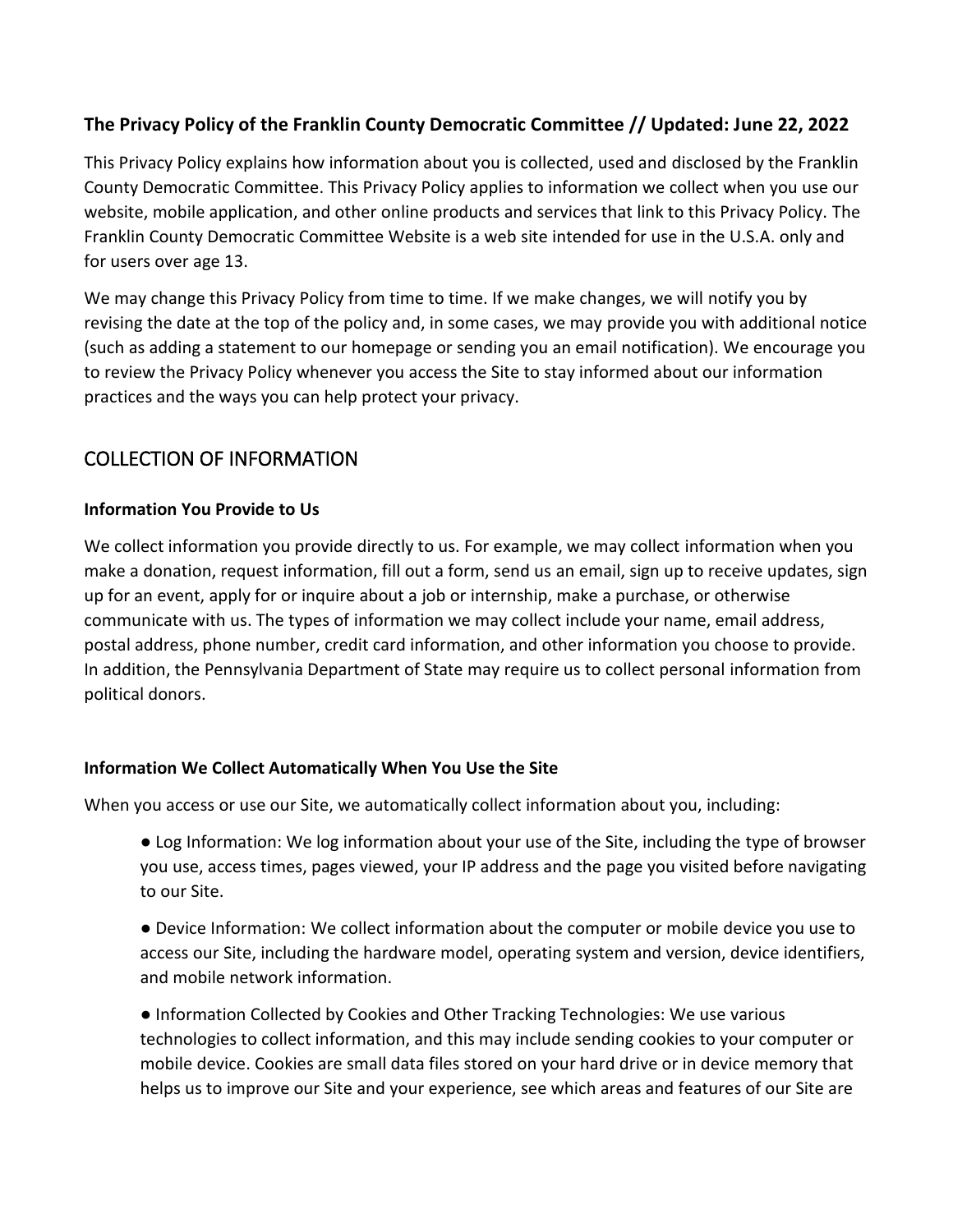#### **The Privacy Policy of the Franklin County Democratic Committee // Updated: June 22, 2022**

This Privacy Policy explains how information about you is collected, used and disclosed by the Franklin County Democratic Committee. This Privacy Policy applies to information we collect when you use our website, mobile application, and other online products and services that link to this Privacy Policy. The Franklin County Democratic Committee Website is a web site intended for use in the U.S.A. only and for users over age 13.

We may change this Privacy Policy from time to time. If we make changes, we will notify you by revising the date at the top of the policy and, in some cases, we may provide you with additional notice (such as adding a statement to our homepage or sending you an email notification). We encourage you to review the Privacy Policy whenever you access the Site to stay informed about our information practices and the ways you can help protect your privacy.

# COLLECTION OF INFORMATION

#### **Information You Provide to Us**

We collect information you provide directly to us. For example, we may collect information when you make a donation, request information, fill out a form, send us an email, sign up to receive updates, sign up for an event, apply for or inquire about a job or internship, make a purchase, or otherwise communicate with us. The types of information we may collect include your name, email address, postal address, phone number, credit card information, and other information you choose to provide. In addition, the Pennsylvania Department of State may require us to collect personal information from political donors.

#### **Information We Collect Automatically When You Use the Site**

When you access or use our Site, we automatically collect information about you, including:

- Log Information: We log information about your use of the Site, including the type of browser you use, access times, pages viewed, your IP address and the page you visited before navigating to our Site.
- Device Information: We collect information about the computer or mobile device you use to access our Site, including the hardware model, operating system and version, device identifiers, and mobile network information.
- Information Collected by Cookies and Other Tracking Technologies: We use various technologies to collect information, and this may include sending cookies to your computer or mobile device. Cookies are small data files stored on your hard drive or in device memory that helps us to improve our Site and your experience, see which areas and features of our Site are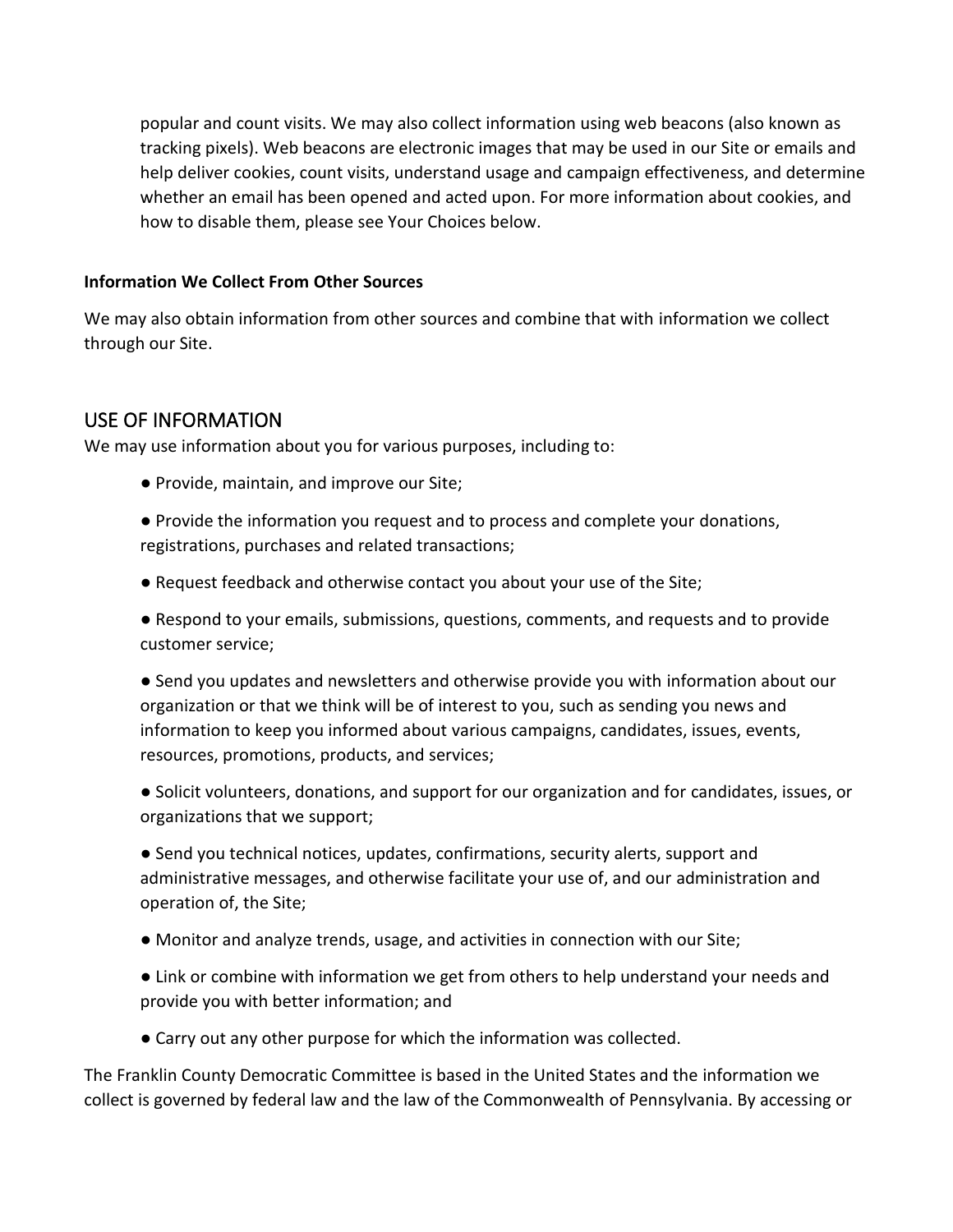popular and count visits. We may also collect information using web beacons (also known as tracking pixels). Web beacons are electronic images that may be used in our Site or emails and help deliver cookies, count visits, understand usage and campaign effectiveness, and determine whether an email has been opened and acted upon. For more information about cookies, and how to disable them, please see Your Choices below.

#### **Information We Collect From Other Sources**

We may also obtain information from other sources and combine that with information we collect through our Site.

### USE OF INFORMATION

We may use information about you for various purposes, including to:

- Provide, maintain, and improve our Site;
- Provide the information you request and to process and complete your donations, registrations, purchases and related transactions;
- Request feedback and otherwise contact you about your use of the Site;

● Respond to your emails, submissions, questions, comments, and requests and to provide customer service;

● Send you updates and newsletters and otherwise provide you with information about our organization or that we think will be of interest to you, such as sending you news and information to keep you informed about various campaigns, candidates, issues, events, resources, promotions, products, and services;

● Solicit volunteers, donations, and support for our organization and for candidates, issues, or organizations that we support;

● Send you technical notices, updates, confirmations, security alerts, support and administrative messages, and otherwise facilitate your use of, and our administration and operation of, the Site;

- Monitor and analyze trends, usage, and activities in connection with our Site;
- Link or combine with information we get from others to help understand your needs and provide you with better information; and
- Carry out any other purpose for which the information was collected.

The Franklin County Democratic Committee is based in the United States and the information we collect is governed by federal law and the law of the Commonwealth of Pennsylvania. By accessing or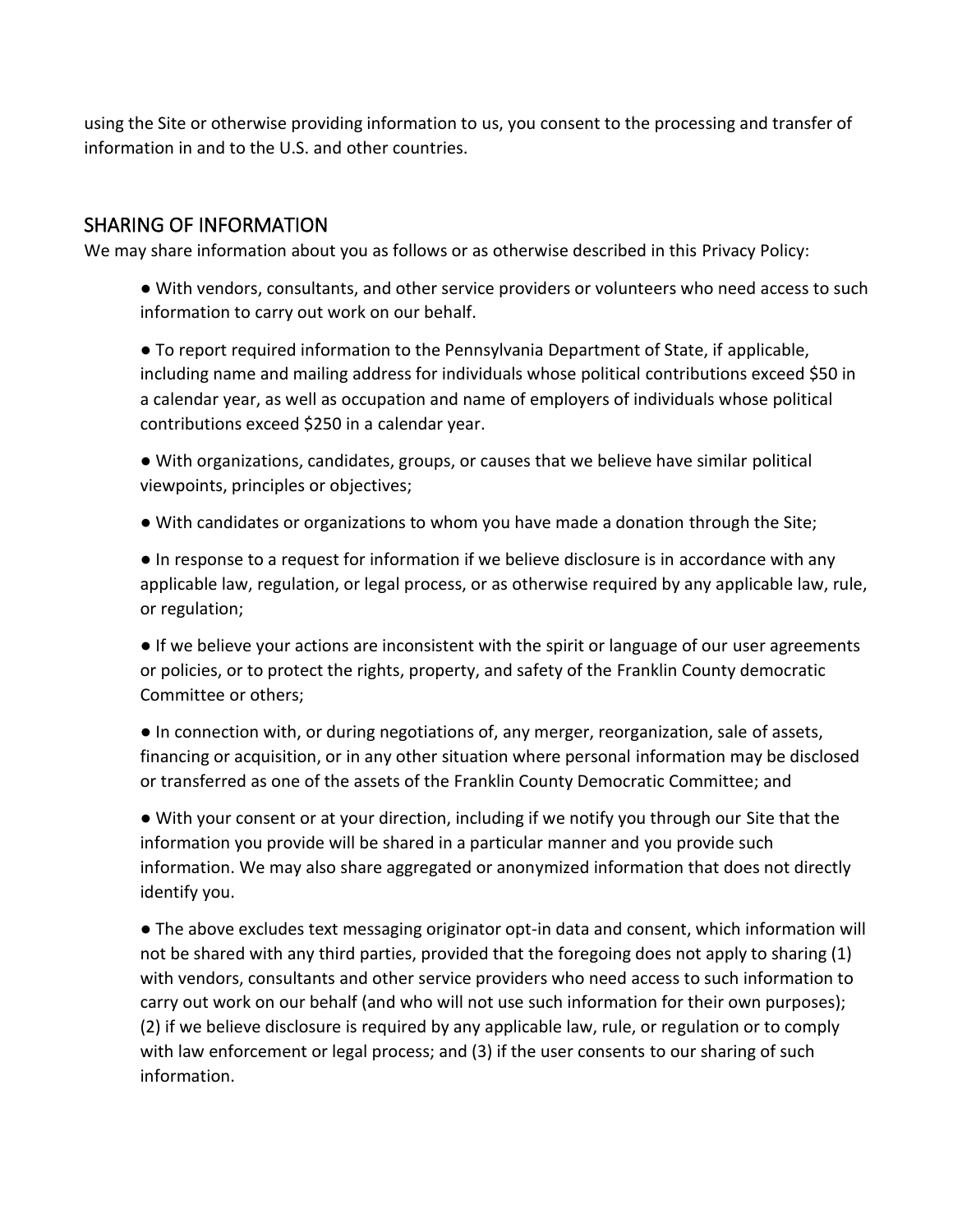using the Site or otherwise providing information to us, you consent to the processing and transfer of information in and to the U.S. and other countries.

### SHARING OF INFORMATION

We may share information about you as follows or as otherwise described in this Privacy Policy:

● With vendors, consultants, and other service providers or volunteers who need access to such information to carry out work on our behalf.

● To report required information to the Pennsylvania Department of State, if applicable, including name and mailing address for individuals whose political contributions exceed \$50 in a calendar year, as well as occupation and name of employers of individuals whose political contributions exceed \$250 in a calendar year.

● With organizations, candidates, groups, or causes that we believe have similar political viewpoints, principles or objectives;

● With candidates or organizations to whom you have made a donation through the Site;

● In response to a request for information if we believe disclosure is in accordance with any applicable law, regulation, or legal process, or as otherwise required by any applicable law, rule, or regulation;

● If we believe your actions are inconsistent with the spirit or language of our user agreements or policies, or to protect the rights, property, and safety of the Franklin County democratic Committee or others;

● In connection with, or during negotiations of, any merger, reorganization, sale of assets, financing or acquisition, or in any other situation where personal information may be disclosed or transferred as one of the assets of the Franklin County Democratic Committee; and

● With your consent or at your direction, including if we notify you through our Site that the information you provide will be shared in a particular manner and you provide such information. We may also share aggregated or anonymized information that does not directly identify you.

● The above excludes text messaging originator opt-in data and consent, which information will not be shared with any third parties, provided that the foregoing does not apply to sharing (1) with vendors, consultants and other service providers who need access to such information to carry out work on our behalf (and who will not use such information for their own purposes); (2) if we believe disclosure is required by any applicable law, rule, or regulation or to comply with law enforcement or legal process; and (3) if the user consents to our sharing of such information.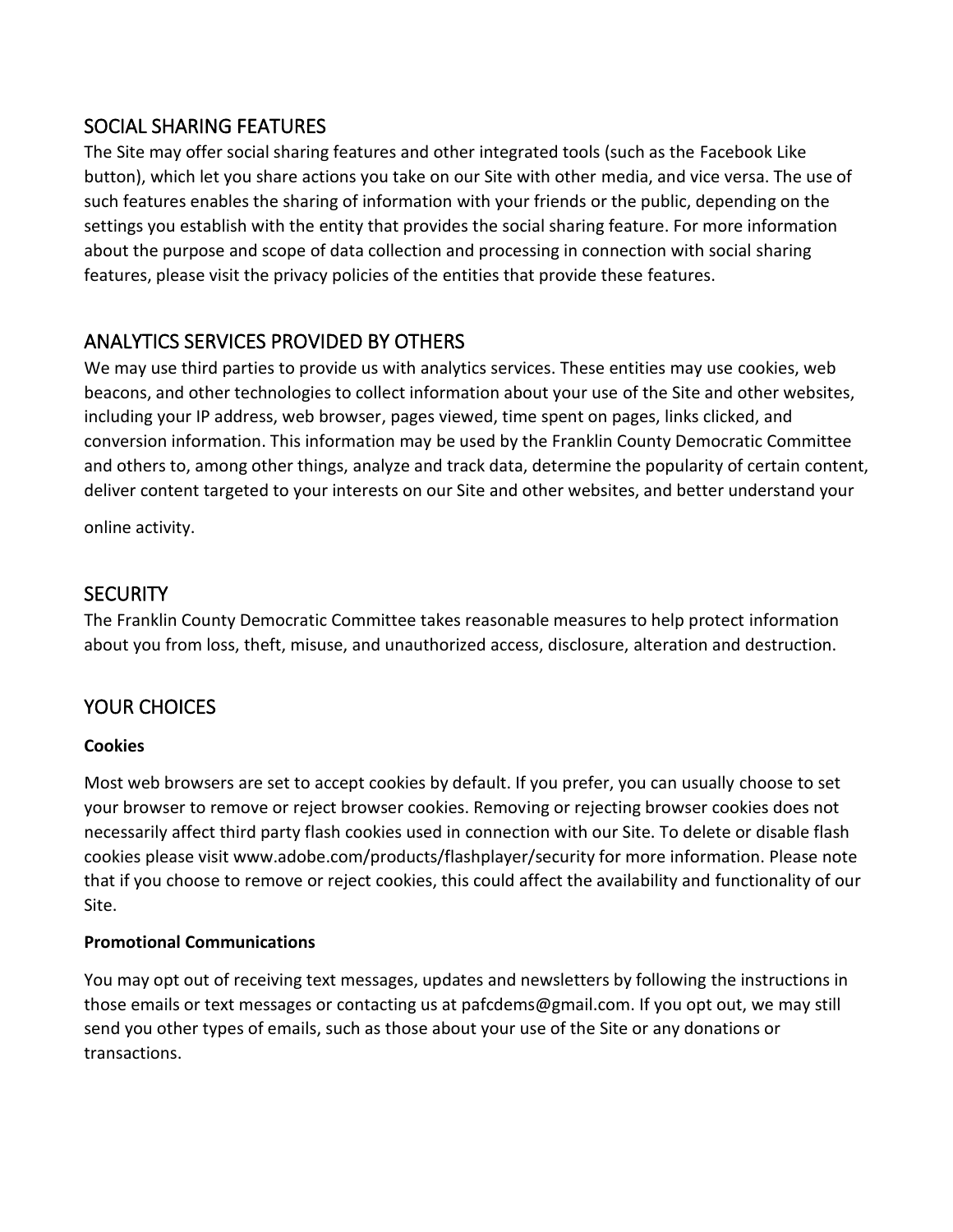### SOCIAL SHARING FEATURES

The Site may offer social sharing features and other integrated tools (such as the Facebook Like button), which let you share actions you take on our Site with other media, and vice versa. The use of such features enables the sharing of information with your friends or the public, depending on the settings you establish with the entity that provides the social sharing feature. For more information about the purpose and scope of data collection and processing in connection with social sharing features, please visit the privacy policies of the entities that provide these features.

# ANALYTICS SERVICES PROVIDED BY OTHERS

We may use third parties to provide us with analytics services. These entities may use cookies, web beacons, and other technologies to collect information about your use of the Site and other websites, including your IP address, web browser, pages viewed, time spent on pages, links clicked, and conversion information. This information may be used by the Franklin County Democratic Committee and others to, among other things, analyze and track data, determine the popularity of certain content, deliver content targeted to your interests on our Site and other websites, and better understand your

online activity.

### **SECURITY**

The Franklin County Democratic Committee takes reasonable measures to help protect information about you from loss, theft, misuse, and unauthorized access, disclosure, alteration and destruction.

# YOUR CHOICES

#### **Cookies**

Most web browsers are set to accept cookies by default. If you prefer, you can usually choose to set your browser to remove or reject browser cookies. Removing or rejecting browser cookies does not necessarily affect third party flash cookies used in connection with our Site. To delete or disable flash cookies please visit www.adobe.com/products/flashplayer/security for more information. Please note that if you choose to remove or reject cookies, this could affect the availability and functionality of our Site.

#### **Promotional Communications**

You may opt out of receiving text messages, updates and newsletters by following the instructions in those emails or text messages or contacting us at pafcdems@gmail.com. If you opt out, we may still send you other types of emails, such as those about your use of the Site or any donations or transactions.